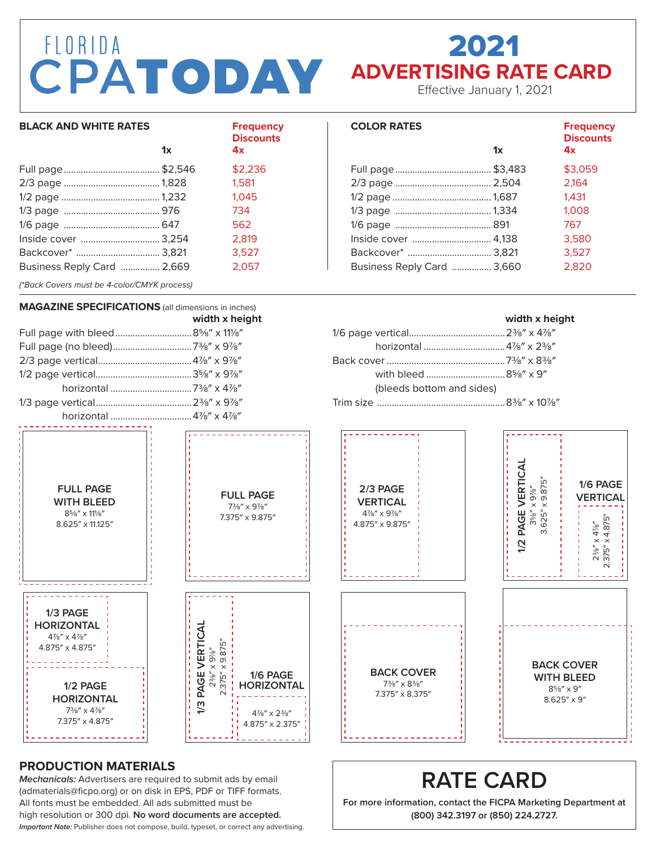# FLORIDA **CPATODAY** ADVERTISING RATE CARD

# 2021

Effective January 1, 2021

**COLOR RATES Frequency**

Full page \$3,059 2/3 page 2,164 1/2 page 1,431 1/3 page 1,008 1/6 page 767 Inside cover 3,580 Backcover\* 3,527

| <b>BLACK AND WHITE RATES</b>                                       |    | <b>Frequency</b><br><b>Discounts</b> |
|--------------------------------------------------------------------|----|--------------------------------------|
|                                                                    | 1x | 4x                                   |
|                                                                    |    | \$2,236                              |
|                                                                    |    | 1.581                                |
|                                                                    |    | 1.045                                |
|                                                                    |    | 734                                  |
|                                                                    |    | 562                                  |
| Inside cover  3,254                                                |    | 2.819                                |
|                                                                    |    | 3.527                                |
| Business Reply Card  2,669                                         |    | 2.057                                |
| $^{18}$ Paak Covers must be $\Lambda$ seler $\Lambda$ Will process |    |                                      |

*(\*Back Covers must be 4-color/CMYK process)*

### Business Reply Card ................ 3,660 2,820

**1x 4x**

**Discounts**



#### **PRODUCTION MATERIALS**

*Mechanicals:* Advertisers are required to submit ads by email (admaterials@ficpo.org) or on disk in EPS, PDF or TIFF formats. All fonts must be embedded. All ads submitted must be high resolution or 300 dpi. **No word documents are accepted.** *Important Note:* Publisher does not compose, build, typeset, or correct any advertising.

**RATE CARD For more information, contact the FICPA Marketing Department at (800) 342.3197 or (850) 224.2727.**